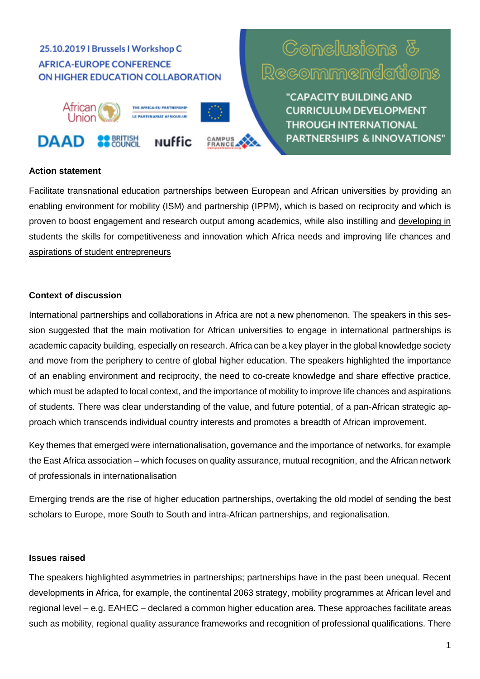# 25.10.2019 | Brussels | Workshop C **AFRICA-EUROPE CONFERENCE** ON HIGHER EDUCATION COLLABORATION



# **Gonelusions & Recommendations**

"CAPACITY BUILDING AND **CURRICULUM DEVELOPMENT THROUGH INTERNATIONAL PARTNERSHIPS & INNOVATIONS"** 

#### **Action statement**

Facilitate transnational education partnerships between European and African universities by providing an enabling environment for mobility (ISM) and partnership (IPPM), which is based on reciprocity and which is proven to boost engagement and research output among academics, while also instilling and developing in students the skills for competitiveness and innovation which Africa needs and improving life chances and aspirations of student entrepreneurs

### **Context of discussion**

International partnerships and collaborations in Africa are not a new phenomenon. The speakers in this session suggested that the main motivation for African universities to engage in international partnerships is academic capacity building, especially on research. Africa can be a key player in the global knowledge society and move from the periphery to centre of global higher education. The speakers highlighted the importance of an enabling environment and reciprocity, the need to co-create knowledge and share effective practice, which must be adapted to local context, and the importance of mobility to improve life chances and aspirations of students. There was clear understanding of the value, and future potential, of a pan-African strategic approach which transcends individual country interests and promotes a breadth of African improvement.

Key themes that emerged were internationalisation, governance and the importance of networks, for example the East Africa association – which focuses on quality assurance, mutual recognition, and the African network of professionals in internationalisation

Emerging trends are the rise of higher education partnerships, overtaking the old model of sending the best scholars to Europe, more South to South and intra-African partnerships, and regionalisation.

#### **Issues raised**

The speakers highlighted asymmetries in partnerships; partnerships have in the past been unequal. Recent developments in Africa, for example, the continental 2063 strategy, mobility programmes at African level and regional level – e.g. EAHEC – declared a common higher education area. These approaches facilitate areas such as mobility, regional quality assurance frameworks and recognition of professional qualifications. There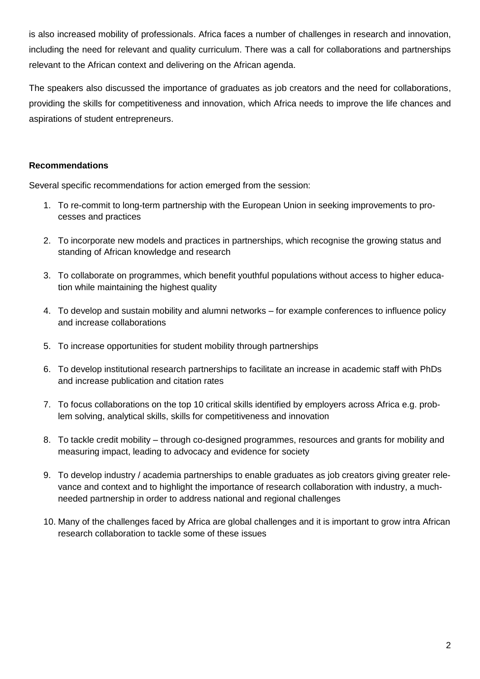is also increased mobility of professionals. Africa faces a number of challenges in research and innovation, including the need for relevant and quality curriculum. There was a call for collaborations and partnerships relevant to the African context and delivering on the African agenda.

The speakers also discussed the importance of graduates as job creators and the need for collaborations, providing the skills for competitiveness and innovation, which Africa needs to improve the life chances and aspirations of student entrepreneurs.

## **Recommendations**

Several specific recommendations for action emerged from the session:

- 1. To re-commit to long-term partnership with the European Union in seeking improvements to processes and practices
- 2. To incorporate new models and practices in partnerships, which recognise the growing status and standing of African knowledge and research
- 3. To collaborate on programmes, which benefit youthful populations without access to higher education while maintaining the highest quality
- 4. To develop and sustain mobility and alumni networks for example conferences to influence policy and increase collaborations
- 5. To increase opportunities for student mobility through partnerships
- 6. To develop institutional research partnerships to facilitate an increase in academic staff with PhDs and increase publication and citation rates
- 7. To focus collaborations on the top 10 critical skills identified by employers across Africa e.g. problem solving, analytical skills, skills for competitiveness and innovation
- 8. To tackle credit mobility through co-designed programmes, resources and grants for mobility and measuring impact, leading to advocacy and evidence for society
- 9. To develop industry / academia partnerships to enable graduates as job creators giving greater relevance and context and to highlight the importance of research collaboration with industry, a muchneeded partnership in order to address national and regional challenges
- 10. Many of the challenges faced by Africa are global challenges and it is important to grow intra African research collaboration to tackle some of these issues